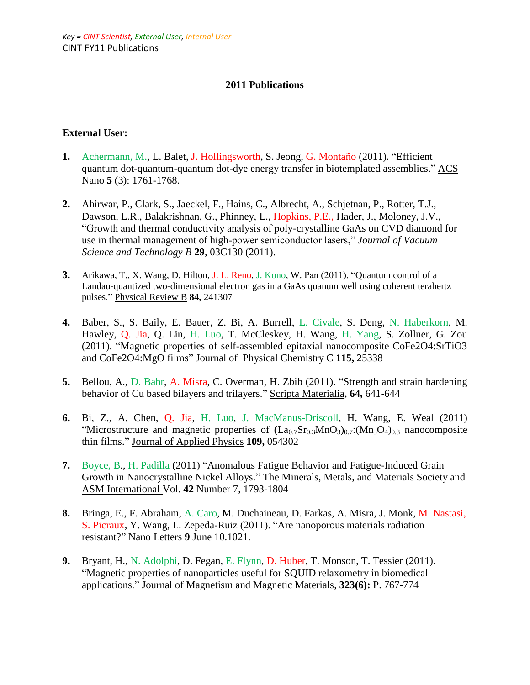# **2011 Publications**

#### **External User:**

- **1.** Achermann, M., L. Balet, J. Hollingsworth, S. Jeong, G. Montaño (2011). "Efficient quantum dot-quantum-quantum dot-dye energy transfer in biotemplated assemblies." ACS Nano **5** (3): 1761-1768.
- **2.** Ahirwar, P., Clark, S., Jaeckel, F., Hains, C., Albrecht, A., Schjetnan, P., Rotter, T.J., Dawson, L.R., Balakrishnan, G., Phinney, L., Hopkins, P.E., Hader, J., Moloney, J.V., "Growth and thermal conductivity analysis of poly-crystalline GaAs on CVD diamond for use in thermal management of high-power semiconductor lasers," *Journal of Vacuum Science and Technology B* **29**, 03C130 (2011).
- **3.** Arikawa, T., X. Wang, D. Hilton, J. L. Reno, J. Kono, W. Pan (2011). "Quantum control of a Landau-quantized two-dimensional electron gas in a GaAs quanum well using coherent terahertz pulses." Physical Review B **84,** 241307
- **4.** Baber, S., S. Baily, E. Bauer, Z. Bi, A. Burrell, L. Civale, S. Deng, N. Haberkorn, M. Hawley, Q. Jia, Q. Lin, H. Luo, T. McCleskey, H. Wang, H. Yang, S. Zollner, G. Zou (2011). "Magnetic properties of self-assembled epitaxial nanocomposite CoFe2O4:SrTiO3 and CoFe2O4:MgO films" Journal of Physical Chemistry C **115,** 25338
- **5.** Bellou, A., D. Bahr, A. Misra, C. Overman, H. Zbib (2011). "Strength and strain hardening behavior of Cu based bilayers and trilayers." Scripta Materialia, **64,** 641-644
- **6.** Bi, Z., A. Chen, Q. Jia, H. Luo, J. MacManus-Driscoll, H. Wang, E. Weal (2011) "Microstructure and magnetic properties of  $(La<sub>0.7</sub>Sr<sub>0.3</sub>MnO<sub>3</sub>)<sub>0.7</sub>$ :  $(Mn<sub>3</sub>O<sub>4</sub>)<sub>0.3</sub>$  nanocomposite thin films." Journal of Applied Physics **109,** 054302
- **7.** Boyce, B., H. Padilla (2011) "Anomalous Fatigue Behavior and Fatigue-Induced Grain Growth in Nanocrystalline Nickel Alloys." The Minerals, Metals, and Materials Society and ASM International Vol. **42** Number 7, 1793-1804
- **8.** Bringa, E., F. Abraham, A. Caro, M. Duchaineau, D. Farkas, A. Misra, J. Monk, M. Nastasi, S. Picraux, Y. Wang, L. Zepeda-Ruiz (2011). "Are nanoporous materials radiation resistant?" Nano Letters **9** June 10.1021.
- **9.** Bryant, H., N. Adolphi, D. Fegan, E. Flynn, D. Huber, T. Monson, T. Tessier (2011). "Magnetic properties of nanoparticles useful for SQUID relaxometry in biomedical applications." Journal of Magnetism and Magnetic Materials, **323(6):** P. 767-774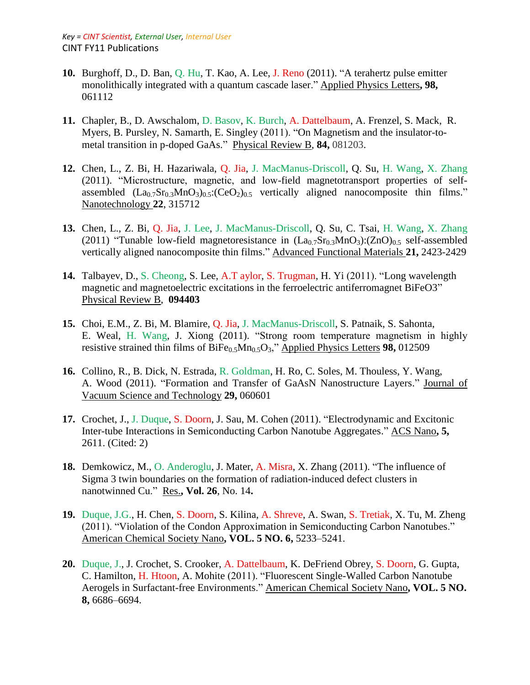- **10.** Burghoff, D., D. Ban, Q. Hu, T. Kao, A. Lee, J. Reno (2011). "A terahertz pulse emitter monolithically integrated with a quantum cascade laser." Applied Physics Letters**, 98,**  061112
- **11.** Chapler, B., D. Awschalom, D. Basov, K. Burch, A. Dattelbaum, A. Frenzel, S. Mack, R. Myers, B. Pursley, N. Samarth, E. Singley (2011). "On Magnetism and the insulator-tometal transition in p-doped GaAs." Physical Review B, **84,** 081203.
- **12.** Chen, L., Z. Bi, H. Hazariwala, Q. Jia, J. MacManus-Driscoll, Q. Su, H. Wang, X. Zhang (2011). "Microstructure, magnetic, and low-field magnetotransport properties of selfassembled  $(La_0 7Sr_0 3MnO_3)$ <sub>0.5</sub>: $(CeO_2)$ <sub>0.5</sub> vertically aligned nanocomposite thin films." Nanotechnology **22**, 315712
- **13.** Chen, L., Z. Bi, Q. Jia, J. Lee, J. MacManus-Driscoll, Q. Su, C. Tsai, H. Wang, X. Zhang (2011) "Tunable low-field magnetoresistance in  $(La<sub>0.7</sub>Sr<sub>0.3</sub>MnO<sub>3</sub>)$ : $(ZnO)<sub>0.5</sub>$  self-assembled vertically aligned nanocomposite thin films." Advanced Functional Materials **21,** 2423-2429
- **14.** Talbayev, D., S. Cheong, S. Lee, A.T aylor, S. Trugman, H. Yi (2011). "Long wavelength magnetic and magnetoelectric excitations in the ferroelectric antiferromagnet BiFeO3" Physical Review B, **094403**
- **15.** Choi, E.M., Z. Bi, M. Blamire, Q. Jia, J. MacManus-Driscoll, S. Patnaik, S. Sahonta, E. Weal, H. Wang, J. Xiong (2011). "Strong room temperature magnetism in highly resistive strained thin films of  $B$ iFe<sub>0.5</sub>Mn<sub>0.5</sub>O<sub>3</sub>," Applied Physics Letters **98,** 012509
- **16.** Collino, R., B. Dick, N. Estrada, R. Goldman, H. Ro, C. Soles, M. Thouless, Y. Wang, A. Wood (2011). "Formation and Transfer of GaAsN Nanostructure Layers." Journal of Vacuum Science and Technology **29,** 060601
- **17.** Crochet, J., J. Duque, S. Doorn, J. Sau, M. Cohen (2011). "Electrodynamic and Excitonic Inter-tube Interactions in Semiconducting Carbon Nanotube Aggregates." ACS Nano**, 5,**  2611. (Cited: 2)
- **18.** Demkowicz, M., O. Anderoglu, J. Mater, A. Misra, X. Zhang (2011). "The influence of Sigma 3 twin boundaries on the formation of radiation-induced defect clusters in nanotwinned Cu." Res.**, Vol. 26**, No. 14**.**
- **19.** Duque, J.G., H. Chen, S. Doorn, S. Kilina, A. Shreve, A. Swan, S. Tretiak, X. Tu, M. Zheng (2011). "Violation of the Condon Approximation in Semiconducting Carbon Nanotubes." American Chemical Society Nano**, VOL. 5 NO. 6,** 5233–5241.
- **20.** Duque, J., J. Crochet, S. Crooker, A. Dattelbaum, K. DeFriend Obrey, S. Doorn, G. Gupta, C. Hamilton, H. Htoon, A. Mohite (2011). "Fluorescent Single-Walled Carbon Nanotube Aerogels in Surfactant-free Environments." American Chemical Society Nano**, VOL. 5 NO. 8,** 6686–6694.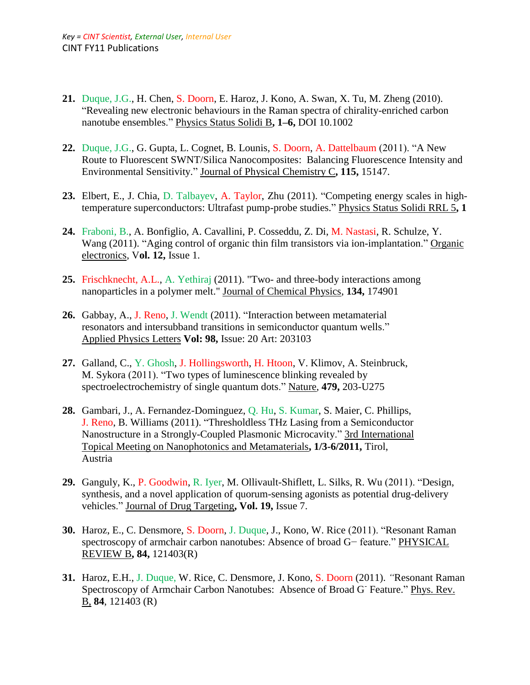- **21.** Duque, J.G., H. Chen, S. Doorn, E. Haroz, J. Kono, A. Swan, X. Tu, M. Zheng (2010). "Revealing new electronic behaviours in the Raman spectra of chirality-enriched carbon nanotube ensembles." Physics Status Solidi B**, 1–6,** DOI 10.1002
- **22.** Duque, J.G., G. Gupta, L. Cognet, B. Lounis, S. Doorn, A. Dattelbaum (2011). "A New Route to Fluorescent SWNT/Silica Nanocomposites: Balancing Fluorescence Intensity and Environmental Sensitivity." Journal of Physical Chemistry C**, 115,** 15147.
- **23.** Elbert, E., J. Chia, D. Talbayev, A. Taylor, Zhu (2011). "Competing energy scales in hightemperature superconductors: Ultrafast pump-probe studies." Physics Status Solidi RRL 5**, 1**
- **24.** Fraboni, B., A. Bonfiglio, A. Cavallini, P. Cosseddu, Z. Di, M. Nastasi, R. Schulze, Y. Wang (2011). "Aging control of organic thin film transistors via ion-implantation." Organic electronics, V**ol. 12,** Issue 1.
- **25.** Frischknecht, A.L., A. Yethiraj (2011). "Two- and three-body interactions among nanoparticles in a polymer melt." Journal of Chemical Physics, **134,** 174901
- **26.** Gabbay, A., J. Reno, J. Wendt (2011). "Interaction between metamaterial resonators and intersubband transitions in semiconductor quantum wells." Applied Physics Letters **Vol: 98,** Issue: 20 Art: 203103
- **27.** Galland, C., Y. Ghosh, J. Hollingsworth, H. Htoon, V. Klimov, A. Steinbruck, M. Sykora (2011). "Two types of luminescence blinking revealed by spectroelectrochemistry of single quantum dots." Nature, **479,** 203-U275
- **28.** Gambari, J., A. Fernandez-Dominguez, Q. Hu, S. Kumar, S. Maier, C. Phillips, J. Reno, B. Williams (2011). "Thresholdless THz Lasing from a Semiconductor Nanostructure in a Strongly-Coupled Plasmonic Microcavity." 3rd International Topical Meeting on Nanophotonics and Metamaterials**, 1/3-6/2011,** Tirol, Austria
- **29.** Ganguly, K., P. Goodwin, R. Iyer, M. Ollivault-Shiflett, L. Silks, R. Wu (2011). "Design, synthesis, and a novel application of quorum-sensing agonists as potential drug-delivery vehicles." Journal of Drug Targeting**, Vol. 19,** Issue 7.
- **30.** Haroz, E., C. Densmore, S. Doorn, J. Duque, J., Kono, W. Rice (2011). "Resonant Raman spectroscopy of armchair carbon nanotubes: Absence of broad G− feature." PHYSICAL REVIEW B**, 84,** 121403(R)
- **31.** Haroz, E.H., J. Duque, W. Rice, C. Densmore, J. Kono, S. Doorn (2011). *"*Resonant Raman Spectroscopy of Armchair Carbon Nanotubes: Absence of Broad G<sup>-</sup> Feature." Phys. Rev. B, **84**, 121403 (R)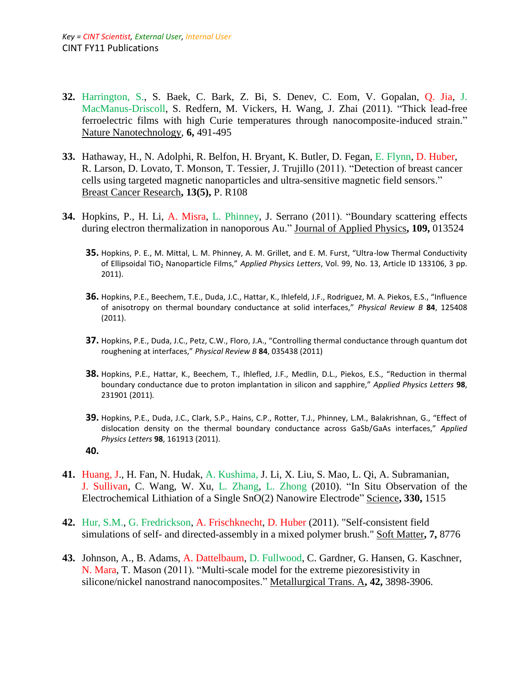- **32.** Harrington, S., S. Baek, C. Bark, Z. Bi, S. Denev, C. Eom, V. Gopalan, Q. Jia, J. MacManus-Driscoll, S. Redfern, M. Vickers, H. Wang, J. Zhai (2011). "Thick lead-free ferroelectric films with high Curie temperatures through nanocomposite-induced strain." Nature Nanotechnology, **6,** 491-495
- **33.** Hathaway, H., N. Adolphi, R. Belfon, H. Bryant, K. Butler, D. Fegan, E. Flynn, D. Huber, R. Larson, D. Lovato, T. Monson, T. Tessier, J. Trujillo (2011). "Detection of breast cancer cells using targeted magnetic nanoparticles and ultra-sensitive magnetic field sensors." Breast Cancer Research**, 13(5),** P. R108
- **34.** Hopkins, P., H. Li, A. Misra, L. Phinney, J. Serrano (2011). "Boundary scattering effects during electron thermalization in nanoporous Au." Journal of Applied Physics**, 109,** 013524
	- **35.** Hopkins, P. E., M. Mittal, L. M. Phinney, A. M. Grillet, and E. M. Furst, "Ultra-low Thermal Conductivity of Ellipsoidal TiO<sup>2</sup> Nanoparticle Films," *Applied Physics Letters*, Vol. 99, No. 13, Article ID 133106, 3 pp. 2011).
	- **36.** Hopkins, P.E., Beechem, T.E., Duda, J.C., Hattar, K., Ihlefeld, J.F., Rodriguez, M. A. Piekos, E.S., "Influence of anisotropy on thermal boundary conductance at solid interfaces," *Physical Review B* **84**, 125408 (2011).
	- **37.** Hopkins, P.E., Duda, J.C., Petz, C.W., Floro, J.A., "Controlling thermal conductance through quantum dot roughening at interfaces," *Physical Review B* **84**, 035438 (2011)
	- **38.** Hopkins, P.E., Hattar, K., Beechem, T., Ihlefled, J.F., Medlin, D.L., Piekos, E.S., "Reduction in thermal boundary conductance due to proton implantation in silicon and sapphire," *Applied Physics Letters* **98**, 231901 (2011)*.*
	- **39.** Hopkins, P.E., Duda, J.C., Clark, S.P., Hains, C.P., Rotter, T.J., Phinney, L.M., Balakrishnan, G., "Effect of dislocation density on the thermal boundary conductance across GaSb/GaAs interfaces," *Applied Physics Letters* **98**, 161913 (2011).
	- **40.**
- **41.** Huang, J., H. Fan, N. Hudak, A. Kushima, J. Li, X. Liu, S. Mao, L. Qi, A. Subramanian, J. Sullivan, C. Wang, W. Xu, L. Zhang, L. Zhong (2010). "In Situ Observation of the Electrochemical Lithiation of a Single SnO(2) Nanowire Electrode" Science**, 330,** 1515
- **42.** Hur, S.M., G. Fredrickson, A. Frischknecht, D. Huber (2011). "Self-consistent field simulations of self- and directed-assembly in a mixed polymer brush." Soft Matter**, 7,** 8776
- **43.** Johnson, A., B. Adams, A. Dattelbaum, D. Fullwood, C. Gardner, G. Hansen, G. Kaschner, N. Mara, T. Mason (2011). "Multi-scale model for the extreme piezoresistivity in silicone/nickel nanostrand nanocomposites." Metallurgical Trans. A**, 42,** 3898-3906.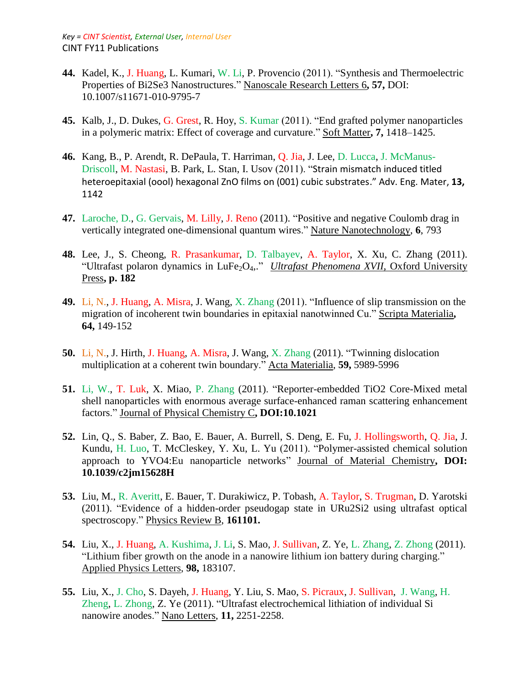- **44.** Kadel, K., J. Huang, L. Kumari, W. Li, P. Provencio (2011). "Synthesis and Thermoelectric Properties of Bi2Se3 Nanostructures." Nanoscale Research Letters 6**, 57,** DOI: 10.1007/s11671-010-9795-7
- **45.** Kalb, J., D. Dukes, G. Grest, R. Hoy, S. Kumar (2011). "End grafted polymer nanoparticles in a polymeric matrix: Effect of coverage and curvature." Soft Matter**, 7,** 1418–1425.
- **46.** Kang, B., P. Arendt, R. DePaula, T. Harriman, Q. Jia, J. Lee, D. Lucca, J. McManus-Driscoll, M. Nastasi, B. Park, L. Stan, I. Usov (2011). "Strain mismatch induced titled heteroepitaxial (oool) hexagonal ZnO films on (001) cubic substrates." Adv. Eng. Mater, **13,**  1142
- **47.** Laroche, D., G. Gervais, M. Lilly, J. Reno (2011). "Positive and negative Coulomb drag in vertically integrated one-dimensional quantum wires." Nature Nanotechnology, **6**, 793
- **48.** Lee, J., S. Cheong, R. Prasankumar, D. Talbayev, A. Taylor, X. Xu, C. Zhang (2011). "Ultrafast polaron dynamics in LuFe<sub>2</sub>O<sub>4</sub>,." *Ultrafast Phenomena XVII*, Oxford University Press**, p. 182**
- **49.** Li, N., J. Huang, A. Misra, J. Wang, X. Zhang (2011). "Influence of slip transmission on the migration of incoherent twin boundaries in epitaxial nanotwinned Cu." Scripta Materialia**, 64,** 149-152
- **50.** Li, N., J. Hirth, J. Huang, A. Misra, J. Wang, X. Zhang (2011). "Twinning dislocation multiplication at a coherent twin boundary." Acta Materialia, **59,** 5989-5996
- **51.** Li, W., T. Luk, X. Miao, P. Zhang (2011). "Reporter-embedded TiO2 Core-Mixed metal shell nanoparticles with enormous average surface-enhanced raman scattering enhancement factors." Journal of Physical Chemistry C**, DOI:10.1021**
- **52.** Lin, Q., S. Baber, Z. Bao, E. Bauer, A. Burrell, S. Deng, E. Fu, J. Hollingsworth, Q. Jia, J. Kundu, H. Luo, T. McCleskey, Y. Xu, L. Yu (2011). "Polymer-assisted chemical solution approach to YVO4:Eu nanoparticle networks" Journal of Material Chemistry**, DOI: 10.1039/c2jm15628H**
- **53.** Liu, M., R. Averitt, E. Bauer, T. Durakiwicz, P. Tobash, A. Taylor, S. Trugman, D. Yarotski (2011). "Evidence of a hidden-order pseudogap state in URu2Si2 using ultrafast optical spectroscopy." Physics Review B, **161101.**
- **54.** Liu, X., J. Huang, A. Kushima, J. Li, S. Mao, J. Sullivan, Z. Ye, L. Zhang, Z. Zhong (2011). "Lithium fiber growth on the anode in a nanowire lithium ion battery during charging." Applied Physics Letters, **98,** 183107.
- **55.** Liu, X., J. Cho, S. Dayeh, J. Huang, Y. Liu, S. Mao, S. Picraux, J. Sullivan, J. Wang, H. Zheng, L. Zhong, Z. Ye (2011). "Ultrafast electrochemical lithiation of individual Si nanowire anodes." Nano Letters, **11,** 2251-2258.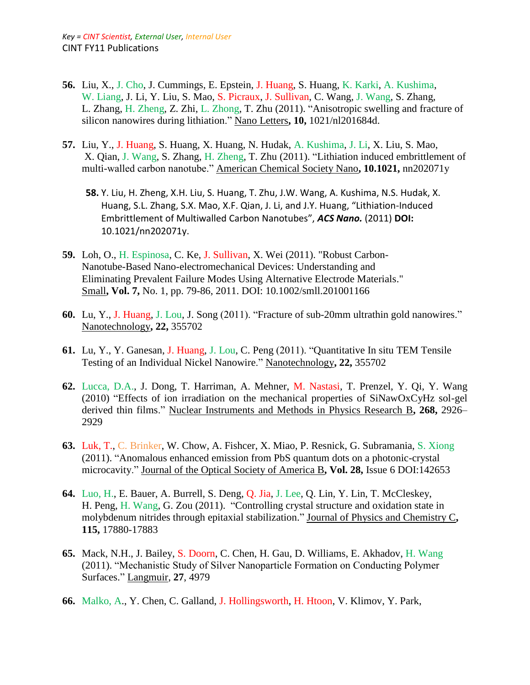- **56.** Liu, X., J. Cho, J. Cummings, E. Epstein, J. Huang, S. Huang, K. Karki, A. Kushima, W. Liang, J. Li, Y. Liu, S. Mao, S. Picraux, J. Sullivan, C. Wang, J. Wang, S. Zhang, L. Zhang, H. Zheng, Z. Zhi, L. Zhong, T. Zhu (2011). "Anisotropic swelling and fracture of silicon nanowires during lithiation." Nano Letters**, 10,** 1021/nl201684d.
- **57.** Liu, Y., J. Huang, S. Huang, X. Huang, N. Hudak, A. Kushima, J. Li, X. Liu, S. Mao, X. Qian, J. Wang, S. Zhang, H. Zheng, T. Zhu (2011). "Lithiation induced embrittlement of multi-walled carbon nanotube." American Chemical Society Nano**, 10.1021,** nn202071y
	- **58.** Y. Liu, H. Zheng, X.H. Liu, S. Huang, T. Zhu, J.W. Wang, A. Kushima, N.S. Hudak, X. Huang, S.L. Zhang, S.X. Mao, X.F. Qian, J. Li, and J.Y. Huang, "Lithiation-Induced Embrittlement of Multiwalled Carbon Nanotubes", *ACS Nano.* (2011) **DOI:**  10.1021/nn202071y.
- **59.** Loh, O., H. Espinosa, C. Ke, J. Sullivan, X. Wei (2011). "Robust Carbon-Nanotube-Based Nano-electromechanical Devices: Understanding and Eliminating Prevalent Failure Modes Using Alternative Electrode Materials." Small**, Vol. 7,** No. 1, pp. 79-86, 2011. DOI: 10.1002/smll.201001166
- **60.** Lu, Y., J. Huang, J. Lou, J. Song (2011). "Fracture of sub-20mm ultrathin gold nanowires." Nanotechnology**, 22,** 355702
- **61.** Lu, Y., Y. Ganesan, J. Huang, J. Lou, C. Peng (2011). "Quantitative In situ TEM Tensile Testing of an Individual Nickel Nanowire." Nanotechnology**, 22,** 355702
- **62.** Lucca, D.A., J. Dong, T. Harriman, A. Mehner, M. Nastasi, T. Prenzel, Y. Qi, Y. Wang (2010) "Effects of ion irradiation on the mechanical properties of SiNawOxCyHz sol-gel derived thin films." Nuclear Instruments and Methods in Physics Research B**, 268,** 2926– 2929
- **63.** Luk, T., C. Brinker, W. Chow, A. Fishcer, X. Miao, P. Resnick, G. Subramania, S. Xiong (2011). "Anomalous enhanced emission from PbS quantum dots on a photonic-crystal microcavity." Journal of the Optical Society of America B**, Vol. 28,** Issue 6 DOI:142653
- **64.** Luo, H., E. Bauer, A. Burrell, S. Deng, Q. Jia, J. Lee, Q. Lin, Y. Lin, T. McCleskey, H. Peng, H. Wang, G. Zou (2011). "Controlling crystal structure and oxidation state in molybdenum nitrides through epitaxial stabilization." Journal of Physics and Chemistry C**, 115,** 17880-17883
- **65.** Mack, N.H., J. Bailey, S. Doorn, C. Chen, H. Gau, D. Williams, E. Akhadov, H. Wang (2011). "Mechanistic Study of Silver Nanoparticle Formation on Conducting Polymer Surfaces." Langmuir, **27**, 4979
- **66.** Malko, A., Y. Chen, C. Galland, J. Hollingsworth, H. Htoon, V. Klimov, Y. Park,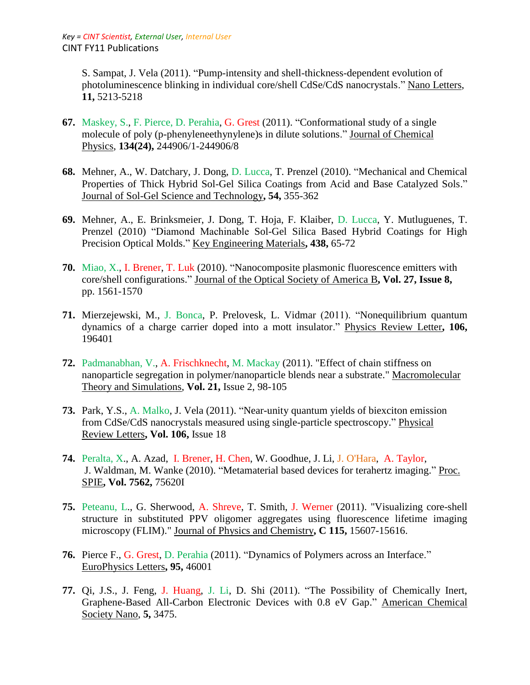S. Sampat, J. Vela (2011). "Pump-intensity and shell-thickness-dependent evolution of photoluminescence blinking in individual core/shell CdSe/CdS nanocrystals." Nano Letters, **11,** 5213-5218

- **67.** Maskey, S., F. Pierce, D. Perahia, G. Grest (2011). "Conformational study of a single molecule of poly (p-phenyleneethynylene)s in dilute solutions." Journal of Chemical Physics, **134(24),** 244906/1-244906/8
- **68.** Mehner, A., W. Datchary, J. Dong, D. Lucca, T. Prenzel (2010). "Mechanical and Chemical Properties of Thick Hybrid Sol-Gel Silica Coatings from Acid and Base Catalyzed Sols." Journal of Sol-Gel Science and Technology**, 54,** 355-362
- **69.** Mehner, A., E. Brinksmeier, J. Dong, T. Hoja, F. Klaiber, D. Lucca, Y. Mutluguenes, T. Prenzel (2010) "Diamond Machinable Sol-Gel Silica Based Hybrid Coatings for High Precision Optical Molds." Key Engineering Materials**, 438,** 65-72
- **70.** Miao, X., I. Brener, T. Luk (2010). "Nanocomposite plasmonic fluorescence emitters with core/shell configurations." Journal of the Optical Society of America B**, Vol. 27, Issue 8,**  pp. 1561-1570
- **71.** Mierzejewski, M., J. Bonca, P. Prelovesk, L. Vidmar (2011). "Nonequilibrium quantum dynamics of a charge carrier doped into a mott insulator." Physics Review Letter**, 106,**  196401
- **72.** Padmanabhan, V., A. Frischknecht, M. Mackay (2011). "Effect of chain stiffness on nanoparticle segregation in polymer/nanoparticle blends near a substrate." Macromolecular Theory and Simulations, **Vol. 21,** Issue 2, 98-105
- **73.** Park, Y.S., A. Malko, J. Vela (2011). "Near-unity quantum yields of biexciton emission from CdSe/CdS nanocrystals measured using single-particle spectroscopy." Physical Review Letters**, Vol. 106,** Issue 18
- **74.** Peralta, X., A. Azad, I. Brener, H. Chen, W. Goodhue, J. Li, J. O'Hara, A. Taylor, J. Waldman, M. Wanke (2010). "Metamaterial based devices for terahertz imaging." Proc. SPIE**, Vol. 7562,** 75620I
- **75.** Peteanu, L., G. Sherwood, A. Shreve, T. Smith, J. Werner (2011). "Visualizing core-shell structure in substituted PPV oligomer aggregates using fluorescence lifetime imaging microscopy (FLIM)." Journal of Physics and Chemistry**, C 115,** 15607-15616.
- **76.** Pierce F., G. Grest, D. Perahia (2011). "Dynamics of Polymers across an Interface." EuroPhysics Letters**, 95,** 46001
- **77.** Qi, J.S., J. Feng, J. Huang, J. Li, D. Shi (2011). "The Possibility of Chemically Inert, Graphene-Based All-Carbon Electronic Devices with 0.8 eV Gap." American Chemical Society Nano, **5,** 3475.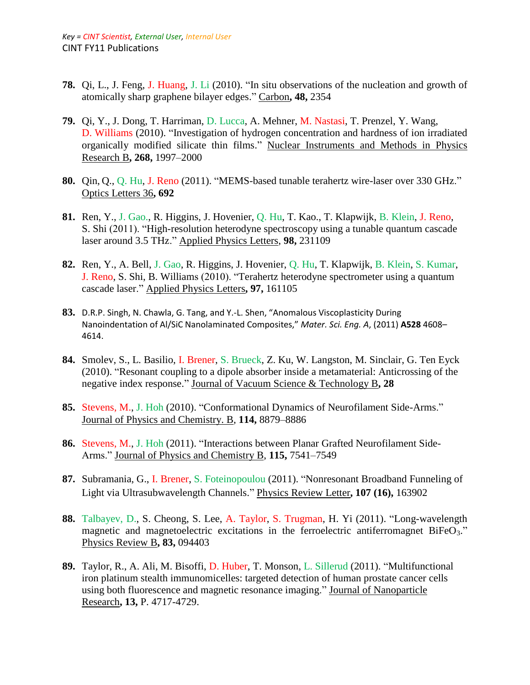- **78.** Qi, L., J. Feng, J. Huang, J. Li (2010). "In situ observations of the nucleation and growth of atomically sharp graphene bilayer edges." Carbon**, 48,** 2354
- **79.** Qi, Y., J. Dong, T. Harriman, D. Lucca, A. Mehner, M. Nastasi, T. Prenzel, Y. Wang, D. Williams (2010). "Investigation of hydrogen concentration and hardness of ion irradiated organically modified silicate thin films." Nuclear Instruments and Methods in Physics Research B**, 268,** 1997–2000
- **80.** Qin, Q., Q. Hu, J. Reno (2011). "MEMS-based tunable terahertz wire-laser over 330 GHz." Optics Letters 36**, 692**
- **81.** Ren, Y., J. Gao., R. Higgins, J. Hovenier, Q. Hu, T. Kao., T. Klapwijk, B. Klein, J. Reno, S. Shi (2011). "High-resolution heterodyne spectroscopy using a tunable quantum cascade laser around 3.5 THz." Applied Physics Letters, **98,** 231109
- **82.** Ren, Y., A. Bell, J. Gao, R. Higgins, J. Hovenier, Q. Hu, T. Klapwijk, B. Klein, S. Kumar, J. Reno, S. Shi, B. Williams (2010). "Terahertz heterodyne spectrometer using a quantum cascade laser." Applied Physics Letters**, 97,** 161105
- **83.** D.R.P. Singh, N. Chawla, G. Tang, and Y.-L. Shen, "Anomalous Viscoplasticity During Nanoindentation of Al/SiC Nanolaminated Composites," *Mater. Sci. Eng. A*, (2011) **A528** 4608– 4614.
- **84.** Smolev, S., L. Basilio, I. Brener, S. Brueck, Z. Ku, W. Langston, M. Sinclair, G. Ten Eyck (2010). "Resonant coupling to a dipole absorber inside a metamaterial: Anticrossing of the negative index response." Journal of Vacuum Science & Technology B**, 28**
- **85.** Stevens, M., J. Hoh (2010). "Conformational Dynamics of Neurofilament Side-Arms." Journal of Physics and Chemistry. B, **114,** 8879–8886
- **86.** Stevens, M., J. Hoh (2011). "Interactions between Planar Grafted Neurofilament Side-Arms." Journal of Physics and Chemistry B, **115,** 7541–7549
- **87.** Subramania, G., I. Brener, S. Foteinopoulou (2011). "Nonresonant Broadband Funneling of Light via Ultrasubwavelength Channels." Physics Review Letter**, 107 (16),** 163902
- **88.** Talbayev, D., S. Cheong, S. Lee, A. Taylor, S. Trugman, H. Yi (2011). ["Long-wavelength](http://prb.aps.org/abstract/PRB/v83/i9/e094403)  [magnetic and magnetoelectric excitations in the ferroelectric antiferromagnet BiFeO](http://prb.aps.org/abstract/PRB/v83/i9/e094403)<sub>3</sub>." Physics Review B**, 83,** 094403
- **89.** Taylor, R., A. Ali, M. Bisoffi, D. Huber, T. Monson, L. Sillerud (2011). "Multifunctional iron platinum stealth immunomicelles: targeted detection of human prostate cancer cells using both fluorescence and magnetic resonance imaging." Journal of Nanoparticle Research**, 13,** P. 4717-4729.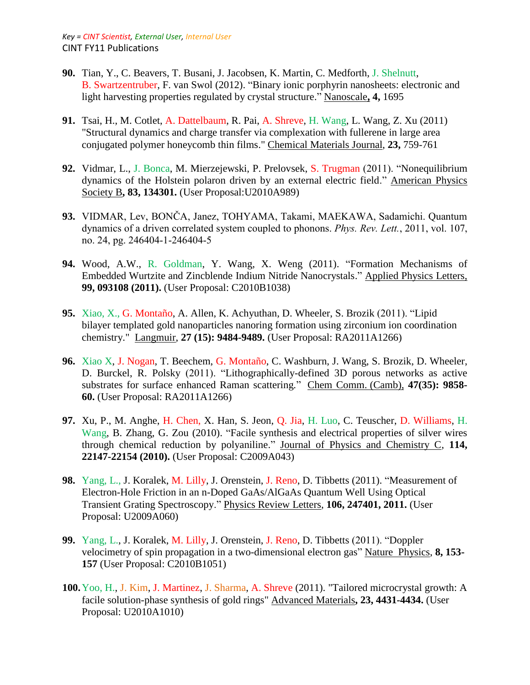- **90.** Tian, Y., C. Beavers, T. Busani, J. Jacobsen, K. Martin, C. Medforth, J. Shelnutt, B. Swartzentruber, F. van Swol (2012). "Binary ionic porphyrin nanosheets: electronic and light harvesting properties regulated by crystal structure." Nanoscale**, 4,** 1695
- **91.** Tsai, H., M. Cotlet, A. Dattelbaum, R. Pai, A. Shreve, H. Wang, L. Wang, Z. Xu (2011) "Structural dynamics and charge transfer via complexation with fullerene in large area conjugated polymer honeycomb thin films." Chemical Materials Journal, **23,** 759-761
- **92.** Vidmar, L., J. Bonca, M. Mierzejewski, P. Prelovsek, S. Trugman (2011). "Nonequilibrium dynamics of the Holstein polaron driven by an external electric field." American Physics Society B**, 83, 134301.** (User Proposal:U2010A989)
- **93.** VIDMAR, Lev, BONČA, Janez, TOHYAMA, Takami, MAEKAWA, Sadamichi. Quantum dynamics of a driven correlated system coupled to phonons. *Phys. Rev. Lett.*, 2011, vol. 107, no. 24, pg. 246404-1-246404-5
- **94.** Wood, A.W., R. Goldman, Y. Wang, X. Weng (2011). "Formation Mechanisms of Embedded Wurtzite and Zincblende Indium Nitride Nanocrystals." Applied Physics Letters, **99, 093108 (2011).** (User Proposal: C2010B1038)
- **95.** Xiao, X., G. Montaño, A. Allen, K. Achyuthan, D. Wheeler, S. Brozik (2011). "Lipid bilayer templated gold nanoparticles nanoring formation using zirconium ion coordination chemistry." Langmuir, **27 (15): 9484-9489.** (User Proposal: RA2011A1266)
- **96.** Xiao X, J. Nogan, T. Beechem, G. Montaño, C. Washburn, J. Wang, S. Brozik, D. Wheeler, D. Burckel, R. Polsky (2011). "Lithographically-defined 3D porous networks as active substrates for surface enhanced Raman scattering*.*" Chem Comm. (Camb), **47(35): 9858- 60.** (User Proposal: RA2011A1266)
- **97.** Xu, P., M. Anghe, H. Chen, X. Han, S. Jeon, Q. Jia, H. Luo, C. Teuscher, D. Williams, H. Wang, B. Zhang, G. Zou (2010). "Facile synthesis and electrical properties of silver wires through chemical reduction by polyaniline." Journal of Physics and Chemistry C, **114, 22147-22154 (2010).** (User Proposal: C2009A043)
- **98.** Yang, L., J. Koralek, M. Lilly, J. Orenstein, J. Reno, D. Tibbetts (2011). "Measurement of Electron-Hole Friction in an n-Doped GaAs/AlGaAs Quantum Well Using Optical Transient Grating Spectroscopy." Physics Review Letters, **106, 247401, 2011.** (User Proposal: U2009A060)
- **99.** Yang, L., J. Koralek, M. Lilly, J. Orenstein, J. Reno, D. Tibbetts (2011). "Doppler velocimetry of spin propagation in a two-dimensional electron gas" Nature Physics, **8, 153- 157** (User Proposal: C2010B1051)
- **100.**Yoo, H., J. Kim, J. Martinez, J. Sharma, A. Shreve (2011). "Tailored microcrystal growth: A facile solution-phase synthesis of gold rings" Advanced Materials**, 23, 4431-4434.** (User Proposal: U2010A1010)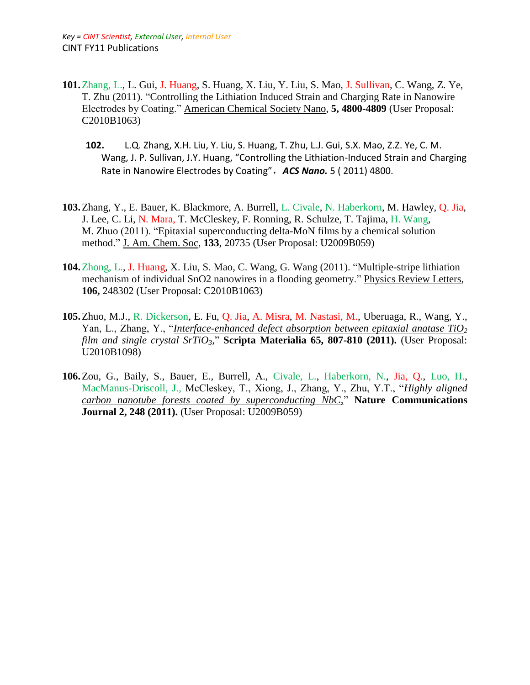- **101.**Zhang, L., L. Gui, J. Huang, S. Huang, X. Liu, Y. Liu, S. Mao, J. Sullivan, C. Wang, Z. Ye, T. Zhu (2011). "Controlling the Lithiation Induced Strain and Charging Rate in Nanowire Electrodes by Coating." American Chemical Society Nano, **5, 4800-4809** (User Proposal: C2010B1063)
	- **102.** L.Q. Zhang, X.H. Liu, Y. Liu, S. Huang, T. Zhu, L.J. Gui, S.X. Mao, Z.Z. Ye, C. M. Wang, J. P. Sullivan, J.Y. Huang, "Controlling the Lithiation-Induced Strain and Charging Rate in Nanowire Electrodes by Coating",*ACS Nano.* 5 ( 2011) 4800.
- **103.**Zhang, Y., E. Bauer, K. Blackmore, A. Burrell, L. Civale, N. Haberkorn, M. Hawley, Q. Jia, J. Lee, C. Li, N. Mara, T. McCleskey, F. Ronning, R. Schulze, T. Tajima, H. Wang, M. Zhuo (2011). "Epitaxial superconducting delta-MoN films by a chemical solution method." J. Am. Chem. Soc, **133**, 20735 (User Proposal: U2009B059)
- **104.**Zhong, L., J. Huang, X. Liu, S. Mao, C. Wang, G. Wang (2011). "Multiple-stripe lithiation mechanism of individual SnO2 nanowires in a flooding geometry." Physics Review Letters, **106,** 248302 (User Proposal: C2010B1063)
- **105.**Zhuo, M.J., R. Dickerson, E. Fu, Q. Jia, A. Misra, M. Nastasi, M., Uberuaga, R., Wang, Y., Yan, L., Zhang, Y., "*Interface-enhanced defect absorption between epitaxial anatase TiO<sup>2</sup> film and single crystal SrTiO3,*" **Scripta Materialia 65, 807-810 (2011).** (User Proposal: U2010B1098)
- **106.**Zou, G., Baily, S., Bauer, E., Burrell, A., Civale, L., Haberkorn, N., Jia, Q., Luo, H., MacManus-Driscoll, J., McCleskey, T., Xiong, J., Zhang, Y., Zhu, Y.T., "*Highly aligned carbon nanotube forests coated by superconducting NbC,*" **Nature Communications Journal 2, 248 (2011).** (User Proposal: U2009B059)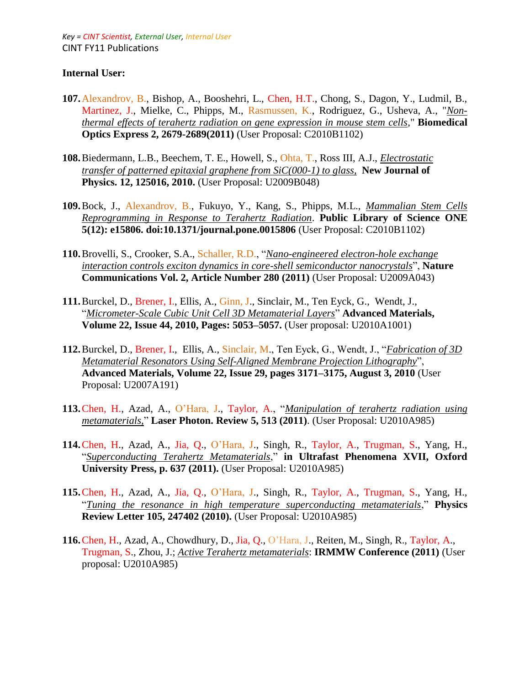### **Internal User:**

- **107.**Alexandrov, B., Bishop, A., Booshehri, L., Chen, H.T., Chong, S., Dagon, Y., Ludmil, B., Martinez, J., Mielke, C., Phipps, M., Rasmussen, K., Rodriguez, G., Usheva, A., "*Nonthermal effects of terahertz radiation on gene expression in mouse stem cells*," **Biomedical Optics Express 2, 2679-2689(2011)** (User Proposal: C2010B1102)
- **108.**Biedermann, L.B., Beechem, T. E., Howell, S., Ohta, T., Ross III, A.J., *Electrostatic transfer of patterned epitaxial graphene from SiC(000-1) to glass*, **New Journal of Physics. 12, 125016, 2010.** (User Proposal: U2009B048)
- **109.**Bock, J., Alexandrov, B., Fukuyo, Y., Kang, S., Phipps, M.L., *Mammalian Stem Cells Reprogramming in Response to Terahertz Radiation*. **Public Library of Science ONE 5(12): e15806. doi:10.1371/journal.pone.0015806** (User Proposal: C2010B1102)
- **110.**Brovelli, S., Crooker, S.A., Schaller, R.D., "*Nano-engineered electron-hole exchange interaction controls exciton dynamics in core-shell semiconductor nanocrystals*", **Nature Communications Vol. 2, Article Number 280 (2011)** (User Proposal: U2009A043)
- **111.**Burckel, D., Brener, I., Ellis, A., Ginn, J., Sinclair, M., Ten Eyck, G., Wendt, J., "*[Micrometer-Scale Cubic Unit Cell 3D Metamaterial Layers](http://onlinelibrary.wiley.com/doi/10.1002/adma.201002429/abstract)*" **Advanced Materials, Volume 22, Issue 44, 2010, Pages: 5053–5057.** (User proposal: U2010A1001)
- **112.**Burckel, D., Brener, I., Ellis, A., Sinclair, M., Ten Eyck, G., Wendt, J., "*Fabrication of 3D Metamaterial Resonators Using Self-Aligned Membrane Projection Lithography*", **Advanced Materials, Volume 22, Issue 29, pages 3171–3175, August 3, 2010** (User Proposal: U2007A191)
- **113.**Chen, H., Azad, A., O'Hara, J., Taylor, A., "*Manipulation of terahertz radiation using metamaterials,*" **Laser Photon. Review 5, 513 (2011)**. (User Proposal: U2010A985)
- **114.**Chen, H., Azad, A., Jia, Q., O'Hara, J., Singh, R., Taylor, A., Trugman, S., Yang, H., "*Superconducting Terahertz Metamaterials*," **in Ultrafast Phenomena XVII, Oxford University Press, p. 637 (2011).** (User Proposal: U2010A985)
- **115.**Chen, H., Azad, A., Jia, Q., O'Hara, J., Singh, R., Taylor, A., Trugman, S., Yang, H., "*Tuning the resonance in high temperature superconducting metamaterials*," **Physics Review Letter 105, 247402 (2010).** (User Proposal: U2010A985)
- **116.**Chen, H., Azad, A., Chowdhury, D., Jia, Q., O'Hara, J., Reiten, M., Singh, R., Taylor, A., Trugman, S., Zhou, J.; *Active Terahertz metamaterials*: **IRMMW Conference (2011)** (User proposal: U2010A985)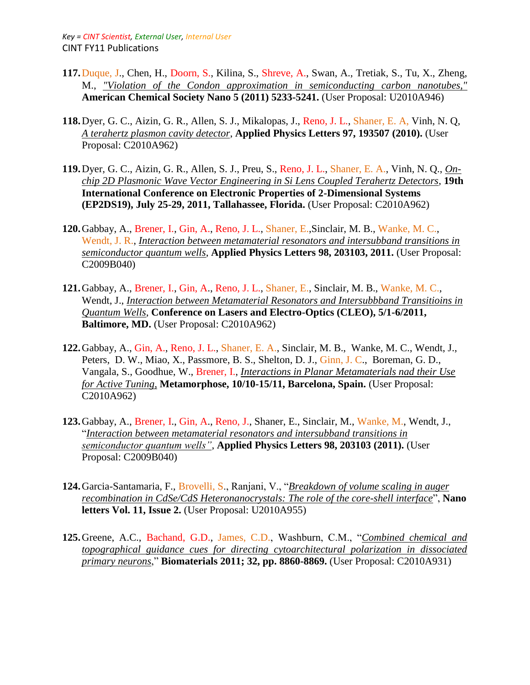- **117.**Duque, J., Chen, H., Doorn, S., Kilina, S., Shreve, A., Swan, A., Tretiak, S., Tu, X., Zheng, M., *"Violation of the Condon approximation in semiconducting carbon nanotubes,"* **American Chemical Society Nano 5 (2011) 5233-5241.** (User Proposal: U2010A946)
- **118.**Dyer, G. C., Aizin, G. R., Allen, S. J., Mikalopas, J., Reno, J. L., Shaner, E. A, Vinh, N. Q, *A terahertz plasmon cavity detector*, **Applied Physics Letters 97, 193507 (2010).** (User Proposal: C2010A962)
- **119.**Dyer, G. C., Aizin, G. R., Allen, S. J., Preu, S., Reno, J. L., Shaner, E. A., Vinh, N. Q., *Onchip 2D Plasmonic Wave Vector Engineering in Si Lens Coupled Terahertz Detectors*, **19th International Conference on Electronic Properties of 2-Dimensional Systems (EP2DS19), July 25-29, 2011, Tallahassee, Florida.** (User Proposal: C2010A962)
- **120.**Gabbay, A., Brener, I., Gin, A., Reno, J. L., Shaner, E.,Sinclair, M. B., Wanke, M. C., Wendt, J. R., *Interaction between metamaterial resonators and intersubband transitions in semiconductor quantum wells*, **Applied Physics Letters 98, 203103, 2011.** (User Proposal: C2009B040)
- **121.**Gabbay, A., Brener, I., Gin, A., Reno, J. L., Shaner, E., Sinclair, M. B., Wanke, M. C., Wendt, J., *Interaction between Metamaterial Resonators and Intersubbband Transitioins in Quantum Wells*, **Conference on Lasers and Electro-Optics (CLEO), 5/1-6/2011, Baltimore, MD.** (User Proposal: C2010A962)
- **122.**Gabbay, A., Gin, A., Reno, J. L., Shaner, E. A., Sinclair, M. B., Wanke, M. C., Wendt, J., Peters, D. W., Miao, X., Passmore, B. S., Shelton, D. J., Ginn, J. C., Boreman, G. D., Vangala, S., Goodhue, W., Brener, I., *Interactions in Planar Metamaterials nad their Use for Active Tuning*, **Metamorphose, 10/10-15/11, Barcelona, Spain.** (User Proposal: C2010A962)
- **123.**Gabbay, A., Brener, I., Gin, A., Reno, J., Shaner, E., Sinclair, M., Wanke, M., Wendt, J., "*[Interaction between metamaterial resonators and intersubband transitions in](http://apl.aip.org/resource/1/applab/v98/i20/p203103_s1)  [semiconductor quantum wells"](http://apl.aip.org/resource/1/applab/v98/i20/p203103_s1)*, **Applied Physics Letters 98, 203103 (2011).** (User Proposal: C2009B040)
- **124.**Garcia-Santamaria, F., Brovelli, S., Ranjani, V., "*Breakdown of volume scaling in auger recombination in CdSe/CdS Heteronanocrystals: The role of the core-shell interface*", **Nano letters Vol. 11, Issue 2.** (User Proposal: U2010A955)
- **125.**Greene, A.C., Bachand, G.D., James, C.D., Washburn, C.M., "*Combined chemical and topographical guidance cues for directing cytoarchitectural polarization in dissociated primary neurons*," **Biomaterials 2011; 32, pp. 8860-8869.** (User Proposal: C2010A931)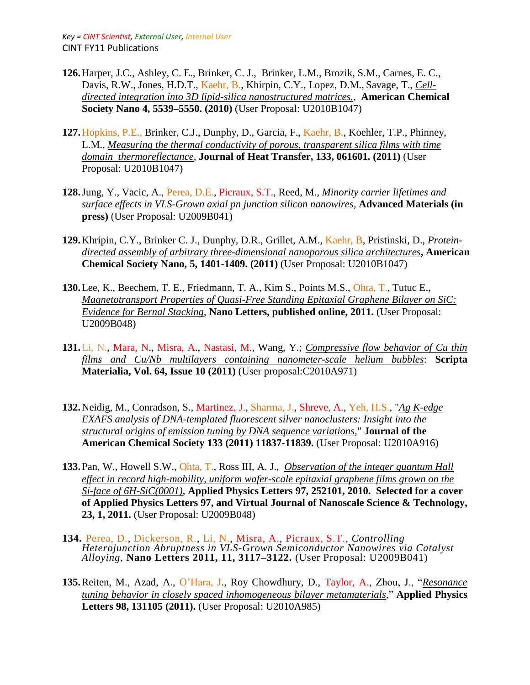- **126.**Harper, J.C., Ashley, C. E., Brinker, C. J., Brinker, L.M., Brozik, S.M., Carnes, E. C., Davis, R.W., Jones, H.D.T., Kaehr, B., Khirpin, C.Y., Lopez, D.M., Savage, T., *Celldirected integration into 3D lipid-silica nanostructured matrices.*, **American Chemical Society Nano 4, 5539–5550. (2010)** (User Proposal: U2010B1047)
- **127.**Hopkins, P.E., Brinker, C.J., Dunphy, D., Garcia, F., Kaehr, B., Koehler, T.P., Phinney, L.M., *Measuring the thermal conductivity of porous, transparent silica films with time domain thermoreflectance*, **Journal of Heat Transfer, 133, 061601. (2011)** (User Proposal: U2010B1047)
- **128.**Jung, Y., Vacic, A., Perea, D.E., Picraux, S.T., Reed, M., *Minority carrier lifetimes and surface effects in VLS-Grown axial pn junction silicon nanowires,* **Advanced Materials (in press)** (User Proposal: U2009B041)
- **129.**Khripin, C.Y., Brinker C. J., Dunphy, D.R., Grillet, A.M., Kaehr, B, Pristinski, D., *Proteindirected assembly of arbitrary three-dimensional nanoporous silica architectures***, American Chemical Society Nano, 5, 1401-1409. (2011)** (User Proposal: U2010B1047)
- **130.**Lee, K., Beechem, T. E., Friedmann, T. A., Kim S., Points M.S., Ohta, T., Tutuc E., *Magnetotransport Properties of Quasi-Free Standing Epitaxial Graphene Bilayer on SiC: Evidence for Bernal Stacking*, **Nano Letters, published online, 2011.** (User Proposal: U2009B048)
- **131.**Li, N., Mara, N., Misra, A., Nastasi, M., Wang, Y.; *Compressive flow behavior of Cu thin films and Cu/Nb multilayers containing nanometer-scale helium bubbles*: **Scripta Materialia, Vol. 64, Issue 10 (2011)** (User proposal:C2010A971)
- **132.**Neidig, M., Conradson, S., Martinez, J., Sharma, J., Shreve, A., Yeh, H.S., "*Ag K-edge EXAFS analysis of DNA-templated fluorescent silver nanoclusters: Insight into the structural origins of emission tuning by DNA sequence variations,*" **Journal of the American Chemical Society 133 (2011) 11837-11839.** (User Proposal: U2010A916)
- **133.**Pan, W., Howell S.W., Ohta, T., Ross III, A. J., *Observation of the integer quantum Hall effect in record high-mobility, uniform wafer-scale epitaxial graphene films grown on the Si-face of 6H-SiC(0001)*, **Applied Physics Letters 97, 252101, 2010. Selected for a cover of Applied Physics Letters 97, and Virtual Journal of Nanoscale Science & Technology, 23, 1, 2011.** (User Proposal: U2009B048)
- **134.** Perea, D., Dickerson, R., Li, N., Misra, A., Picraux, S.T., *Controlling Heterojunction Abruptness in VLS-Grown Semiconductor Nanowires via Catalyst Alloying*, **Nano Letters 2011, 11, 3117–3122.** (User Proposal: U2009B041)
- **135.**Reiten, M., Azad, A., O'Hara, J., Roy Chowdhury, D., Taylor, A., Zhou, J., "*Resonance tuning behavior in closely spaced inhomogeneous bilayer metamaterials*," **Applied Physics Letters 98, 131105 (2011).** (User Proposal: U2010A985)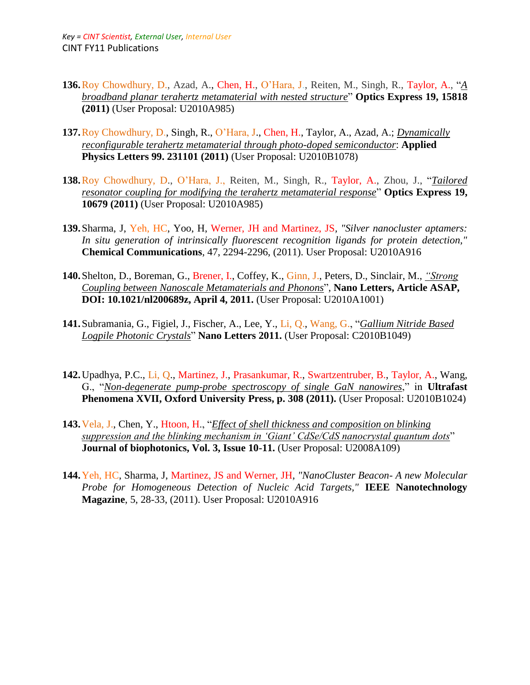- **136.**Roy Chowdhury, D., Azad, A., Chen, H., O'Hara, J., Reiten, M., Singh, R., Taylor, A., "*A broadband planar terahertz metamaterial with nested structure*" **Optics Express 19, 15818 (2011)** (User Proposal: U2010A985)
- **137.**Roy Chowdhury, D., Singh, R., O'Hara, J., Chen, H., Taylor, A., Azad, A.; *Dynamically reconfigurable terahertz metamaterial through photo-doped semiconductor*: **Applied Physics Letters 99. 231101 (2011)** (User Proposal: U2010B1078)
- **138.**Roy Chowdhury, D., O'Hara, J., Reiten, M., Singh, R., Taylor, A., Zhou, J., "*Tailored resonator coupling for modifying the terahertz metamaterial response*" **Optics Express 19, 10679 (2011)** (User Proposal: U2010A985)
- **139.**Sharma, J, Yeh, HC, Yoo, H, Werner, JH and Martinez, JS*, "Silver nanocluster aptamers: In situ generation of intrinsically fluorescent recognition ligands for protein detection,"*  **Chemical Communications**, 47, 2294-2296, (2011). User Proposal: U2010A916
- **140.**Shelton, D., Boreman, G., Brener, I., Coffey, K., Ginn, J., Peters, D., Sinclair, M., *["Strong](http://pubs.acs.org/doi/abs/10.1021/nl200689z)  [Coupling between Nanoscale Metamaterials and Phonons](http://pubs.acs.org/doi/abs/10.1021/nl200689z)*", **Nano Letters, Article ASAP, DOI: 10.1021/nl200689z, April 4, 2011.** (User Proposal: U2010A1001)
- **141.**Subramania, G., Figiel, J., Fischer, A., Lee, Y., Li, Q., Wang, G., "*Gallium Nitride Based Logpile Photonic Crystals*" **Nano Letters 2011.** (User Proposal: C2010B1049)
- **142.**Upadhya, P.C., Li, Q., Martinez, J., Prasankumar, R., Swartzentruber, B., Taylor, A., Wang, G., "*Non-degenerate pump-probe spectroscopy of single GaN nanowires*," in **Ultrafast Phenomena XVII, Oxford University Press, p. 308 (2011).** (User Proposal: U2010B1024)
- **143.**Vela, J., Chen, Y., Htoon, H., "*Effect of shell thickness and composition on blinking suppression and the blinking mechanism in 'Giant' CdSe/CdS nanocrystal quantum dots*" **Journal of biophotonics, Vol. 3, Issue 10-11.** (User Proposal: U2008A109)
- **144.**Yeh, HC, Sharma, J, Martinez, JS and Werner, JH*, "NanoCluster Beacon- A new Molecular Probe for Homogeneous Detection of Nucleic Acid Targets,"* **IEEE Nanotechnology Magazine**, 5, 28-33, (2011). User Proposal: U2010A916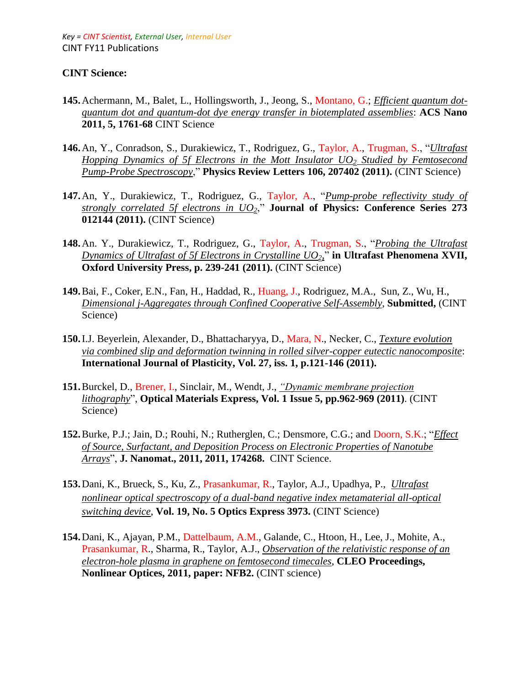### **CINT Science:**

- **145.**Achermann, M., Balet, L., Hollingsworth, J., Jeong, S., Montano, G.; *Efficient quantum dotquantum dot and quantum-dot dye energy transfer in biotemplated assemblies*: **ACS Nano 2011, 5, 1761-68** CINT Science
- **146.**An, Y., Conradson, S., Durakiewicz, T., Rodriguez, G., Taylor, A., Trugman, S., "*[Ultrafast](http://prl.aps.org/abstract/PRL/v106/i20/e207402)  Hopping Dynamics of 5f [Electrons in the Mott Insulator UO](http://prl.aps.org/abstract/PRL/v106/i20/e207402)<sup>2</sup> Studied by Femtosecond [Pump-Probe Spectroscopy](http://prl.aps.org/abstract/PRL/v106/i20/e207402)*," **Physics Review Letters 106, 207402 (2011).** (CINT Science)
- **147.**An, Y., Durakiewicz, T., Rodriguez, G., Taylor, A., "*Pump-probe reflectivity study of strongly correlated 5f electrons in UO2*," **Journal of Physics: Conference Series 273 012144 (2011).** (CINT Science)
- **148.**An. Y., Durakiewicz, T., Rodriguez, G., Taylor, A., Trugman, S., "*Probing the Ultrafast Dynamics of Ultrafast of 5f Electrons in Crystalline UO2,*" **in Ultrafast Phenomena XVII, Oxford University Press, p. 239-241 (2011).** (CINT Science)
- **149.**Bai, F., Coker, E.N., Fan, H., Haddad, R., Huang, J., Rodriguez, M.A., Sun, Z., Wu, H., *Dimensional j-Aggregates through Confined Cooperative Self-Assembly*, **Submitted,** (CINT Science)
- **150.**I.J. Beyerlein, Alexander, D., Bhattacharyya, D., Mara, N., Necker, C., *Texture evolution via combined slip and deformation twinning in rolled silver-copper eutectic nanocomposite*: **International Journal of Plasticity, Vol. 27, iss. 1, p.121-146 (2011).**
- **151.**Burckel, D., Brener, I., Sinclair, M., Wendt, J., *["Dynamic membrane projection](http://www.opticsinfobase.org/view_article.cfm?gotourl=http%3A%2F%2Fwww.opticsinfobase.org%2FDirectPDFAccess%2F7D6A69A1-CE6E-FE91-353A1AB6EE90915A_221981.pdf%3Fda%3D1%26id%3D221981%26seq%3D0%26mobile%3Dno&org=)  [lithography](http://www.opticsinfobase.org/view_article.cfm?gotourl=http%3A%2F%2Fwww.opticsinfobase.org%2FDirectPDFAccess%2F7D6A69A1-CE6E-FE91-353A1AB6EE90915A_221981.pdf%3Fda%3D1%26id%3D221981%26seq%3D0%26mobile%3Dno&org=)*", **Optical Materials Express, Vol. 1 Issue 5, pp.962-969 (2011)**. (CINT Science)
- **152.**Burke, P.J.; Jain, D.; Rouhi, N.; Rutherglen, C.; Densmore, C.G.; and Doorn, S.K.; "*Effect of Source, Surfactant, and Deposition Process on Electronic Properties of Nanotube Arrays*", **J. Nanomat., 2011, 2011, 174268.** CINT Science.
- **153.**Dani, K., Brueck, S., Ku, Z., Prasankumar, R., Taylor, A.J., Upadhya, P., *Ultrafast nonlinear optical spectroscopy of a dual-band negative index metamaterial all-optical switching device*, **Vol. 19, No. 5 Optics Express 3973.** (CINT Science)
- **154.**Dani, K., Ajayan, P.M., Dattelbaum, A.M., Galande, C., Htoon, H., Lee, J., Mohite, A., Prasankumar, R., Sharma, R., Taylor, A.J., *Observation of the relativistic response of an electron-hole plasma in graphene on femtosecond timecales*, **CLEO Proceedings, Nonlinear Optices, 2011, paper: NFB2.** (CINT science)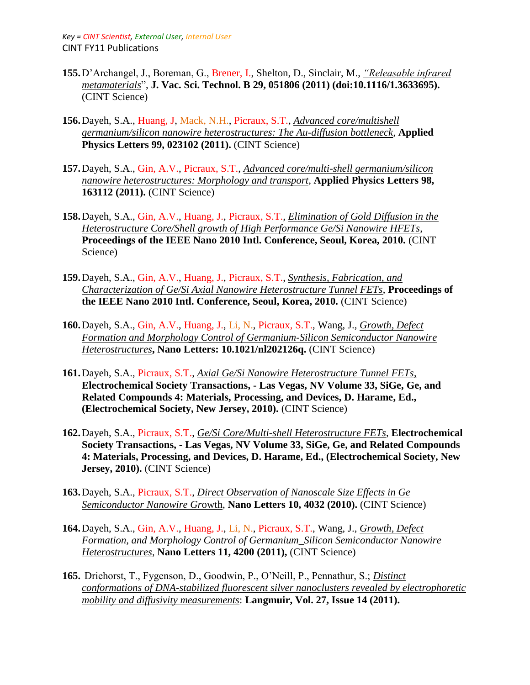- **155.**D'Archangel, J., Boreman, G., Brener, I., Shelton, D., Sinclair, M., *["Releasable infrared](http://avspublications.org/jvstb/resource/1/jvtbd9/v29/i5/p051806_s1?isAuthorized=no)  [metamaterials](http://avspublications.org/jvstb/resource/1/jvtbd9/v29/i5/p051806_s1?isAuthorized=no)*", **J. Vac. Sci. Technol. B 29, 051806 (2011) (doi:10.1116/1.3633695).**  (CINT Science)
- **156.**Dayeh, S.A., Huang, J, Mack, N.H., Picraux, S.T., *Advanced core/multishell germanium/silicon nanowire heterostructures: The Au-diffusion bottleneck,* **Applied Physics Letters 99, 023102 (2011).** (CINT Science)
- **157.**Dayeh, S.A., Gin, A.V., Picraux, S.T., *Advanced core/multi-shell germanium/silicon nanowire heterostructures: Morphology and transport*, **Applied Physics Letters 98, 163112 (2011).** (CINT Science)
- **158.**Dayeh, S.A., Gin, A.V., Huang, J., Picraux, S.T., *Elimination of Gold Diffusion in the Heterostructure Core/Shell growth of High Performance Ge/Si Nanowire HFETs*, **Proceedings of the IEEE Nano 2010 Intl. Conference, Seoul, Korea, 2010.** (CINT Science)
- **159.**Dayeh, S.A., Gin, A.V., Huang, J., Picraux, S.T., *Synthesis, Fabrication, and Characterization of Ge/Si Axial Nanowire Heterostructure Tunnel FETs*, **Proceedings of the IEEE Nano 2010 Intl. Conference, Seoul, Korea, 2010.** (CINT Science)
- **160.**Dayeh, S.A., Gin, A.V., Huang, J., Li, N., Picraux*,* S.T., Wang, J., *Growth, Defect Formation and Morphology Control of Germanium-Silicon Semiconductor Nanowire Heterostructures***, Nano Letters: 10.1021/nl202126q.** (CINT Science)
- **161.**Dayeh, S.A., Picraux, S.T., *Axial Ge/Si Nanowire Heterostructure Tunnel FETs*, **Electrochemical Society Transactions, - Las Vegas, NV Volume 33, SiGe, Ge, and Related Compounds 4: Materials, Processing, and Devices, D. Harame, Ed., (Electrochemical Society, New Jersey, 2010).** (CINT Science)
- **162.**Dayeh, S.A., Picraux, S.T., *Ge/Si Core/Multi-shell Heterostructure FETs*, **Electrochemical Society Transactions, - Las Vegas, NV Volume 33, SiGe, Ge, and Related Compounds 4: Materials, Processing, and Devices, D. Harame, Ed., (Electrochemical Society, New Jersey, 2010).** (CINT Science)
- **163.**Dayeh, S.A., Picraux, S.T., *Direct Observation of Nanoscale Size Effects in Ge Semiconductor Nanowire Gr*owth, **Nano Letters 10, 4032 (2010).** (CINT Science)
- **164.**Dayeh, S.A., Gin, A.V., Huang, J., Li, N., Picraux, S.T., Wang, J., *Growth, Defect Formation, and Morphology Control of Germanium\_Silicon Semiconductor Nanowire Heterostructures*, **Nano Letters 11, 4200 (2011),** (CINT Science)
- **165.** Driehorst, T., Fygenson, D., Goodwin, P., O'Neill, P., Pennathur, S.; *Distinct conformations of DNA-stabilized fluorescent silver nanoclusters revealed by electrophoretic mobility and diffusivity measurements*: **Langmuir, Vol. 27, Issue 14 (2011).**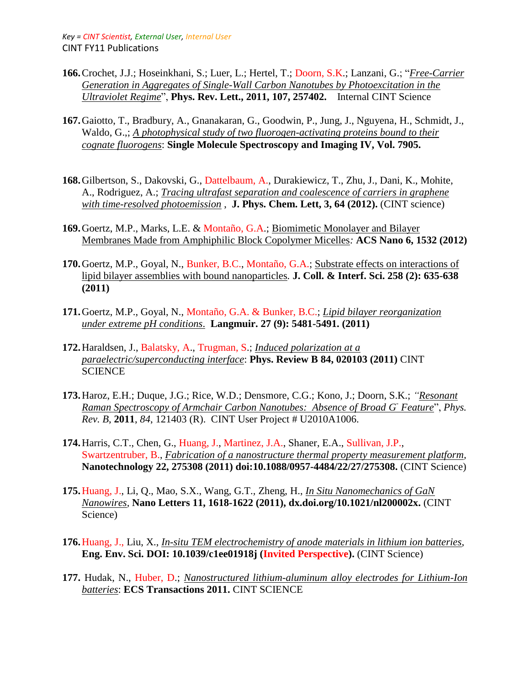- **166.**Crochet, J.J.; Hoseinkhani, S.; Luer, L.; Hertel, T.; Doorn, S.K.; Lanzani, G.; "*Free-Carrier Generation in Aggregates of Single-Wall Carbon Nanotubes by Photoexcitation in the Ultraviolet Regime*", **Phys. Rev. Lett., 2011, 107, 257402.** Internal CINT Science
- **167.**Gaiotto, T., Bradbury, A., Gnanakaran, G., Goodwin, P., Jung, J., Nguyena, H., Schmidt, J., Waldo, G.,; *A photophysical study of two fluorogen-activating proteins bound to their cognate fluorogens*: **Single Molecule Spectroscopy and Imaging IV, Vol. 7905.**
- **168.**Gilbertson, S., Dakovski, G., Dattelbaum, A., Durakiewicz, T., Zhu, J., Dani, K., Mohite, A., Rodriguez, A.; *Tracing ultrafast separation and coalescence of carriers in graphene with time-resolved photoemission* , **J. Phys. Chem. Lett, 3, 64 (2012).** (CINT science)
- **169.**Goertz, M.P., Marks, L.E. & Montaño, G.A.; Biomimetic Monolayer and Bilayer Membranes Made from Amphiphilic Block Copolymer Micelles*:* **ACS Nano 6, 1532 (2012)**
- **170.**Goertz, M.P., Goyal, N., Bunker, B.C., Montaño, G.A.; Substrate effects on interactions of lipid bilayer assemblies with bound nanoparticles*.* **J. Coll. & Interf. Sci. 258 (2): 635-638 (2011)**
- **171.**Goertz, M.P., Goyal, N., Montaño, G.A. & Bunker, B.C.; *Lipid bilayer reorganization under extreme pH conditions*. **Langmuir. 27 (9): 5481-5491. (2011)**
- **172.**Haraldsen, J., Balatsky, A., Trugman, S.; *Induced polarization at a paraelectric/superconducting interface*: **Phys. Review B 84, 020103 (2011)** CINT **SCIENCE**
- **173.**Haroz, E.H.; Duque, J.G.; Rice, W.D.; Densmore, C.G.; Kono, J.; Doorn, S.K.; *"Resonant Raman Spectroscopy of Armchair Carbon Nanotubes: Absence of Broad G-Feature*", *Phys. Rev. B*, **2011**, *84*, 121403 (R). CINT User Project # U2010A1006.
- **174.**Harris, C.T., Chen, G., Huang, J., Martinez, J.A., Shaner, E.A., Sullivan, J.P., Swartzentruber, B., *Fabrication of a nanostructure thermal property measurement platform,*  **Nanotechnology 22, 275308 (2011) doi:10.1088/0957-4484/22/27/275308.** (CINT Science)
- **175.**Huang, J., Li, Q., Mao, S.X., Wang, G.T.*,* Zheng, H., *In Situ Nanomechanics of GaN Nanowires,* **Nano Letters 11, 1618-1622 (2011), dx.doi.org/10.1021/nl200002x.** (CINT Science)
- **176.**Huang, J., Liu, X., *In-situ TEM electrochemistry of anode materials in lithium ion batteries*, **Eng. Env. Sci. DOI: 10.1039/c1ee01918j (Invited Perspective).** (CINT Science)
- **177.** Hudak, N., Huber, D.; *Nanostructured lithium-aluminum alloy electrodes for Lithium-Ion batteries*: **ECS Transactions 2011.** CINT SCIENCE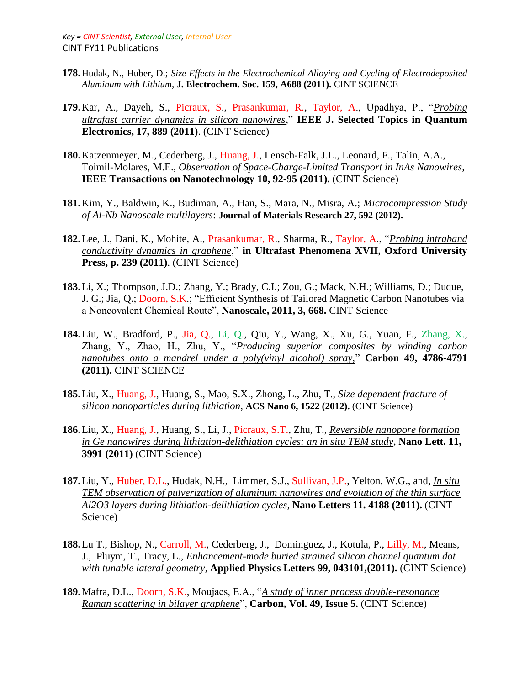- **178.**Hudak, N., Huber, D.; *Size Effects in the Electrochemical Alloying and Cycling of Electrodeposited Aluminum with Lithium,* **J. Electrochem. Soc. 159, A688 (2011).** CINT SCIENCE
- **179.**Kar, A., Dayeh, S., Picraux, S., Prasankumar, R., Taylor, A., Upadhya, P., "*Probing ultrafast carrier dynamics in silicon nanowires*," **IEEE J. Selected Topics in Quantum Electronics, 17, 889 (2011)**. (CINT Science)
- **180.**Katzenmeyer, M., Cederberg, J., Huang, J., Lensch-Falk, J.L., Leonard, F., Talin, A.A., Toimil-Molares, M.E., *Observation of Space-Charge-Limited Transport in InAs Nanowires,*  **IEEE Transactions on Nanotechnology 10, 92-95 (2011).** (CINT Science)
- **181.**Kim, Y., Baldwin, K., Budiman, A., Han, S., Mara, N., Misra, A.; *Microcompression Study of Al-Nb Nanoscale multilayers*: **Journal of Materials Research 27, 592 (2012).**
- **182.**Lee, J., Dani, K., Mohite, A., Prasankumar, R., Sharma, R., Taylor, A., "*Probing intraband conductivity dynamics in graphene*," **in Ultrafast Phenomena XVII, Oxford University Press, p. 239 (2011)**. (CINT Science)
- **183.**Li, X.; Thompson, J.D.; Zhang, Y.; Brady, C.I.; Zou, G.; Mack, N.H.; Williams, D.; Duque, J. G.; Jia, Q.; Doorn, S.K.; "Efficient Synthesis of Tailored Magnetic Carbon Nanotubes via a Noncovalent Chemical Route", **Nanoscale, 2011, 3, 668.** CINT Science
- **184.**Liu, W., Bradford, P., Jia, Q., Li, Q., Qiu, Y., Wang, X., Xu, G., Yuan, F., Zhang, X., Zhang, Y., Zhao, H., Zhu, Y., "*Producing superior composites by winding carbon nanotubes onto a mandrel under a poly(vinyl alcohol) spray,*" **Carbon 49, 4786-4791 (2011).** CINT SCIENCE
- **185.**Liu, X., Huang, J., Huang, S., Mao, S.X., Zhong, L., Zhu, T., *Size dependent fracture of silicon nanoparticles during lithiation,* **ACS Nano 6, 1522 (2012).** (CINT Science)
- **186.**Liu, X., Huang, J., Huang, S., Li, J., Picraux, S.T., Zhu, T., *Reversible nanopore formation in Ge nanowires during lithiation-delithiation cycles: an in situ TEM study,* **Nano Lett. 11, 3991 (2011)** (CINT Science)
- **187.**Liu, Y., Huber, D.L., Hudak, N.H., Limmer, S.J., Sullivan, J.P., Yelton, W.G., and, *In situ TEM observation of pulverization of aluminum nanowires and evolution of the thin surface Al2O3 layers during lithiation-delithiation cycles,* **Nano Letters 11. 4188 (2011).** (CINT Science)
- **188.**Lu T., Bishop, N., Carroll, M.*,* Cederberg, J., Dominguez, J., Kotula, P., Lilly, M., Means, J., Pluym, T., Tracy, L., *Enhancement-mode buried strained silicon channel quantum dot with tunable lateral geometry,* **Applied Physics Letters 99, 043101,(2011).** (CINT Science)
- **189.**Mafra, D.L., Doorn, S.K., Moujaes, E.A., "*A study of inner process double-resonance Raman scattering in bilayer graphene*", **Carbon, Vol. 49, Issue 5.** (CINT Science)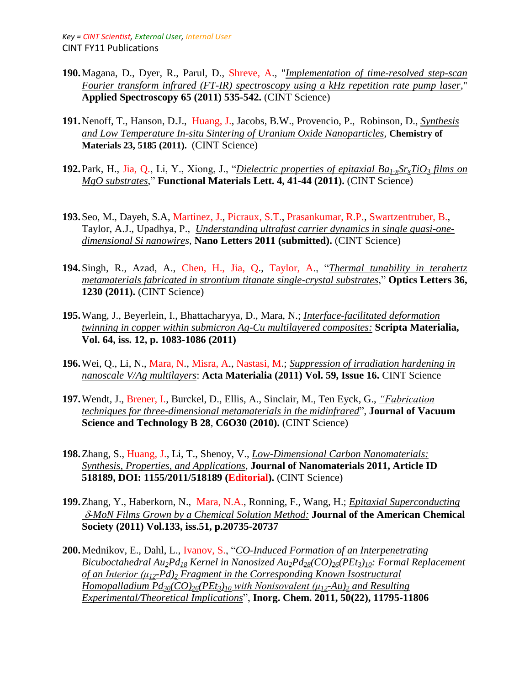- **190.**Magana, D., Dyer, R., Parul, D., Shreve, A., "*Implementation of time-resolved step-scan Fourier transform infrared (FT-IR) spectroscopy using a kHz repetition rate pump laser*," **Applied Spectroscopy 65 (2011) 535-542.** (CINT Science)
- **191.**Nenoff, T., Hanson, D.J., Huang, J., Jacobs, B.W., Provencio, P., Robinson, D., *Synthesis and Low Temperature In-situ Sintering of Uranium Oxide Nanoparticles,* **Chemistry of Materials 23, 5185 (2011).** (CINT Science)
- **192.**Park, H., Jia, Q., Li, Y., Xiong, J., "*Dielectric properties of epitaxial Ba1-xSrxTiO<sup>3</sup> films on MgO substrates*," **Functional Materials Lett. 4, 41-44 (2011).** (CINT Science)
- **193.**Seo, M., Dayeh, S.A, Martinez, J., Picraux, S.T., Prasankumar, R.P.*,* Swartzentruber, B., Taylor, A.J., Upadhya, P., *Understanding ultrafast carrier dynamics in single quasi-onedimensional Si nanowires*, **Nano Letters 2011 (submitted).** (CINT Science)
- **194.**Singh, R., Azad, A., Chen, H., Jia, Q., Taylor, A., "*Thermal tunability in terahertz metamaterials fabricated in strontium titanate single-crystal substrates*," **Optics Letters 36, 1230 (2011).** (CINT Science)
- **195.**Wang, J., Beyerlein, I., Bhattacharyya, D., Mara, N.; *Interface-facilitated deformation twinning in copper within submicron Ag-Cu multilayered composites:* **Scripta Materialia, Vol. 64, iss. 12, p. 1083-1086 (2011)**
- **196.**Wei, Q., Li, N., Mara, N., Misra, A., Nastasi, M.; *Suppression of irradiation hardening in nanoscale V/Ag multilayers*: **Acta Materialia (2011) Vol. 59, Issue 16.** CINT Science
- **197.**Wendt, J., Brener, I., Burckel, D., Ellis, A., Sinclair, M., Ten Eyck, G., *["Fabrication](http://avspublications.org/jvstb/resource/1/jvtbd9/v28/i6/pC6O30_s1?isAuthorized=no)  [techniques for three-dimensional metamaterials in the midinfrared](http://avspublications.org/jvstb/resource/1/jvtbd9/v28/i6/pC6O30_s1?isAuthorized=no)*", **Journal of Vacuum Science and Technology B 28**, **C6O30 (2010).** (CINT Science)
- **198.**Zhang, S., Huang, J., Li, T., Shenoy, V., *Low-Dimensional Carbon Nanomaterials: Synthesis, Properties, and Applications,* **Journal of Nanomaterials 2011, Article ID 518189, DOI: 1155/2011/518189 (Editorial).** (CINT Science)
- **199.**[Zhang, Y.,](https://oppie.lanl.gov/oppie/service?url_ver=Z39.88-2004&rft_id=info:lanl-repo/oppie&svc_val_fmt=http://oppie.lanl.gov/openurl/oppie.html&svc_id=info:lanl-repo/svc/oppie/solr-bib-search&svc.oparam2=0&svc.oparam3=25&svc.oparam4=score%20desc&svc.oparam1=name:%22Zhang,%20Y.%20%22) [Haberkorn, N.,](https://oppie.lanl.gov/oppie/service?url_ver=Z39.88-2004&rft_id=info:lanl-repo/oppie&svc_val_fmt=http://oppie.lanl.gov/openurl/oppie.html&svc_id=info:lanl-repo/svc/oppie/solr-bib-search&svc.oparam2=0&svc.oparam3=25&svc.oparam4=score%20desc&svc.oparam1=name:%22Haberkorn,%20N.%20%22) Mara, N.A., [Ronning, F.,](https://oppie.lanl.gov/oppie/service?url_ver=Z39.88-2004&rft_id=info:lanl-repo/oppie&svc_val_fmt=http://oppie.lanl.gov/openurl/oppie.html&svc_id=info:lanl-repo/svc/oppie/solr-bib-search&svc.oparam2=0&svc.oparam3=25&svc.oparam4=score%20desc&svc.oparam1=name:%22Ronning,%20F.%20%22) Wang, H.; *Epitaxial Superconducting -MoN Films Grown by a Chemical Solution Method:* **Journal of the American Chemical Society (2011) Vol.133, iss.51, p.20735-20737**
- **200.**Mednikov, E., Dahl, L., Ivanov, S., "*CO-Induced Formation of an Interpenetrating Bicuboctahedral Au2Pd<sup>18</sup> Kernel in Nanosized Au2Pd28(CO)26(PEt3)10: Formal Replacement of an Interior (μ12-Pd)<sup>2</sup> Fragment in the Corresponding Known Isostructural Homopalladium Pd30(CO)26(PEt3)<sup>10</sup> with Nonisovalent (μ12-Au)<sup>2</sup> and Resulting Experimental/Theoretical Implications*", **Inorg. Chem. 2011, 50(22), 11795-11806**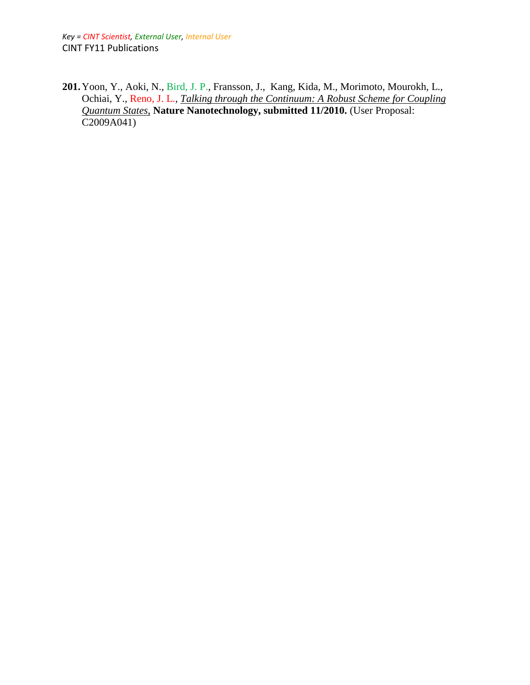*Key = CINT Scientist, External User, Internal User* CINT FY11 Publications

**201.**Yoon, Y., Aoki, N., Bird, J. P., Fransson, J., Kang, Kida, M., Morimoto, Mourokh, L., Ochiai, Y., Reno, J. L., *Talking through the Continuum: A Robust Scheme for Coupling Quantum States*, **Nature Nanotechnology, submitted 11/2010.** (User Proposal: C2009A041)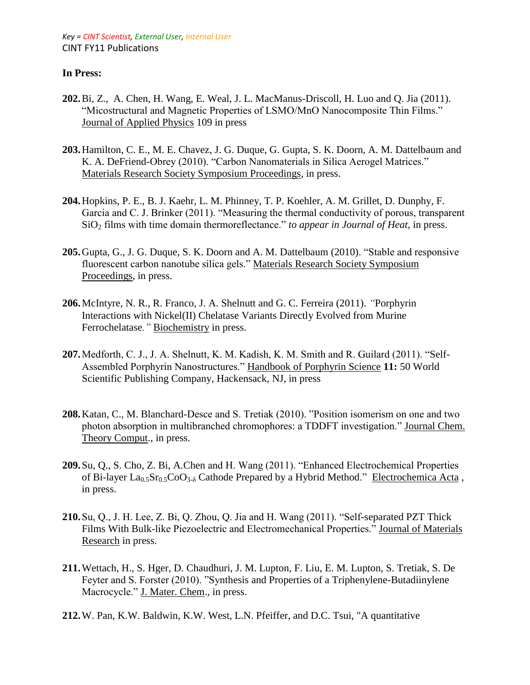# **In Press:**

- **202.**Bi, Z., A. Chen, H. Wang, E. Weal, J. L. MacManus-Driscoll, H. Luo and Q. Jia (2011). "Micostructural and Magnetic Properties of LSMO/MnO Nanocomposite Thin Films." Journal of Applied Physics 109 in press
- **203.**Hamilton, C. E., M. E. Chavez, J. G. Duque, G. Gupta, S. K. Doorn, A. M. Dattelbaum and K. A. DeFriend-Obrey (2010). "Carbon Nanomaterials in Silica Aerogel Matrices." Materials Research Society Symposium Proceedings, in press.
- **204.**Hopkins, P. E., B. J. Kaehr, L. M. Phinney, T. P. Koehler, A. M. Grillet, D. Dunphy, F. Garcia and C. J. Brinker (2011). "Measuring the thermal conductivity of porous, transparent SiO<sub>2</sub> films with time domain thermoreflectance." *to appear in Journal of Heat*, in press.
- **205.**Gupta, G., J. G. Duque, S. K. Doorn and A. M. Dattelbaum (2010). "Stable and responsive fluorescent carbon nanotube silica gels." Materials Research Society Symposium Proceedings, in press.
- **206.**McIntyre, N. R., R. Franco, J. A. Shelnutt and G. C. Ferreira (2011). *"*Porphyrin Interactions with Nickel(II) Chelatase Variants Directly Evolved from Murine Ferrochelatase*."* Biochemistry in press.
- **207.**Medforth, C. J., J. A. Shelnutt, K. M. Kadish, K. M. Smith and R. Guilard (2011). "Self-Assembled Porphyrin Nanostructures." Handbook of Porphyrin Science **11:** 50 World Scientific Publishing Company, Hackensack, NJ, in press
- **208.**Katan, C., M. Blanchard-Desce and S. Tretiak (2010). "Position isomerism on one and two photon absorption in multibranched chromophores: a TDDFT investigation." Journal Chem. Theory Comput., in press.
- **209.**Su, Q., S. Cho, Z. Bi, A.Chen and H. Wang (2011). "Enhanced Electrochemical Properties of Bi-layer  $La<sub>0.5</sub>Sr<sub>0.5</sub>CoO<sub>3.5</sub>$  Cathode Prepared by a Hybrid Method." Electrochemica Acta, in press.
- **210.**Su, Q., J. H. Lee, Z. Bi, Q. Zhou, Q. Jia and H. Wang (2011). "Self-separated PZT Thick Films With Bulk-like Piezoelectric and Electromechanical Properties." Journal of Materials Research in press.
- **211.**Wettach, H., S. Hger, D. Chaudhuri, J. M. Lupton, F. Liu, E. M. Lupton, S. Tretiak, S. De Feyter and S. Forster (2010). "Synthesis and Properties of a Triphenylene-Butadiinylene Macrocycle." J. Mater. Chem., in press.
- **212.**W. Pan, K.W. Baldwin, K.W. West, L.N. Pfeiffer, and D.C. Tsui, "A quantitative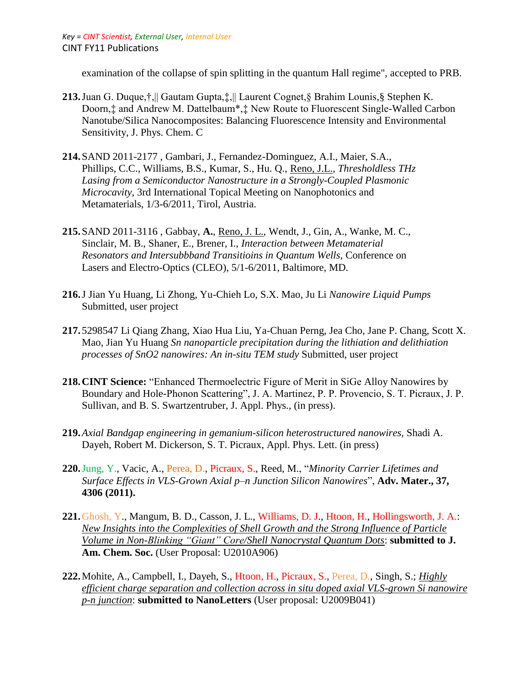examination of the collapse of spin splitting in the quantum Hall regime", accepted to PRB.

- **213.**Juan G. Duque,†,|| Gautam Gupta,‡,|| Laurent Cognet,§ Brahim Lounis,§ Stephen K. Doorn,‡ and Andrew M. Dattelbaum\*,‡ New Route to Fluorescent Single-Walled Carbon Nanotube/Silica Nanocomposites: Balancing Fluorescence Intensity and Environmental Sensitivity, J. Phys. Chem. C
- **214.**SAND 2011-2177 , Gambari, J., Fernandez-Dominguez, A.I., Maier, S.A., Phillips, C.C., Williams, B.S., Kumar, S., Hu. Q., Reno, J.L., *Thresholdless THz Lasing from a Semiconductor Nanostructure in a Strongly-Coupled Plasmonic Microcavity*, 3rd International Topical Meeting on Nanophotonics and Metamaterials, 1/3-6/2011, Tirol, Austria.
- **215.**SAND 2011-3116 , Gabbay, **A.**, Reno, J. L., Wendt, J., Gin, A., Wanke, M. C., Sinclair, M. B., Shaner, E., Brener, I., *Interaction between Metamaterial Resonators and Intersubbband Transitioins in Quantum Wells*, Conference on Lasers and Electro-Optics (CLEO), 5/1-6/2011, Baltimore, MD.
- **216.**J Jian Yu Huang, Li Zhong, Yu-Chieh Lo, S.X. Mao, Ju Li *Nanowire Liquid Pumps*  Submitted, user project
- **217.** 5298547 Li Qiang Zhang, Xiao Hua Liu, Ya-Chuan Perng, Jea Cho, Jane P. Chang, Scott X. Mao, Jian Yu Huang *Sn nanoparticle precipitation during the lithiation and delithiation processes of SnO2 nanowires: An in-situ TEM study* Submitted, user project
- **218.CINT Science:** "Enhanced Thermoelectric Figure of Merit in SiGe Alloy Nanowires by Boundary and Hole-Phonon Scattering", J. A. Martinez, P. P. Provencio, S. T. Picraux, J. P. Sullivan, and B. S. Swartzentruber, J. Appl. Phys., (in press).
- **219.***Axial Bandgap engineering in gemanium-silicon heterostructured nanowires,* Shadi A. Dayeh, Robert M. Dickerson, S. T. Picraux, Appl. Phys. Lett. (in press)
- **220.**Jung, Y., Vacic, A., Perea, D., Picraux, S., Reed, M., "*Minority Carrier Lifetimes and Surface Effects in VLS-Grown Axial p–n Junction Silicon Nanowires*", **Adv. Mater., 37, 4306 (2011).**
- **221.**Ghosh, Y., Mangum, B. D., Casson, J. L., Williams, D. J., Htoon, H., Hollingsworth, J. A.: *New Insights into the Complexities of Shell Growth and the Strong Influence of Particle Volume in Non-Blinking "Giant" Core/Shell Nanocrystal Quantum Dots*: **submitted to J. Am. Chem. Soc.** (User Proposal: U2010A906)
- **222.**Mohite, A., Campbell, I., Dayeh, S., Htoon, H., Picraux, S., Perea, D., Singh, S.; *Highly efficient charge separation and collection across in situ doped axial VLS-grown Si nanowire p-n junction*: **submitted to NanoLetters** (User proposal: U2009B041)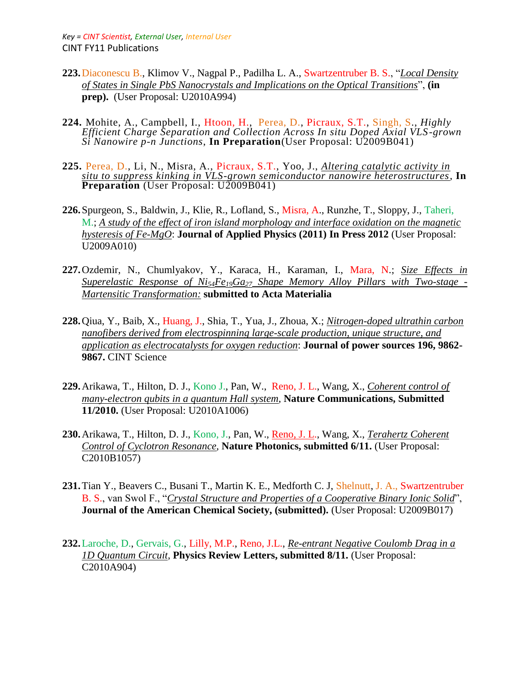- **223.**Diaconescu B., Klimov V., Nagpal P., Padilha L. A., Swartzentruber B. S., "*Local Density of States in Single PbS Nanocrystals and Implications on the Optical Transitions*", **(in prep).** (User Proposal: U2010A994)
- **224.** Mohite, A., Campbell, I., Htoon, H., Perea, D., Picraux, S.T., Singh, S., *Highly Efficient Charge Separation and Collection Across In situ Doped Axial VLS-grown Si Nanowire p-n Junctions*, **In Preparation**(User Proposal: U2009B041)
- **225.** Perea, D., Li, N., Misra, A., Picraux, S.T., Yoo, J., *Altering catalytic activity in situ to suppress kinking in VLS-grown semiconductor nanowire heterostructures*, **In Preparation** (User Proposal: U2009B041)
- **226.**Spurgeon, S., Baldwin, J., Klie, R., Lofland, S., Misra, A., Runzhe, T., Sloppy, J., Taheri, M.; *A study of the effect of iron island morphology and interface oxidation on the magnetic hysteresis of Fe-MgO*: **Journal of Applied Physics (2011) In Press 2012** (User Proposal: U2009A010)
- **227.**Ozdemir, N., Chumlyakov, Y., Karaca, H., Karaman, I., Mara, N.; *Size Effects in Superelastic Response of Ni54Fe19Ga<sup>27</sup> Shape Memory Alloy Pillars with Two-stage - Martensitic Transformation:* **submitted to Acta Materialia**
- **228.**Qiua, Y., Baib, X., Huang, J., Shia, T., Yua, J., Zhoua, X.; *Nitrogen-doped ultrathin carbon nanofibers derived from electrospinning large-scale production, unique structure, and application as electrocatalysts for oxygen reduction*: **Journal of power sources 196, 9862- 9867.** CINT Science
- **229.**Arikawa, T., Hilton, D. J., Kono J., Pan, W., Reno, J. L., Wang, X., *Coherent control of many-electron qubits in a quantum Hall system*, **Nature Communications, Submitted 11/2010.** (User Proposal: U2010A1006)
- **230.**Arikawa, T., Hilton, D. J., Kono, J., Pan, W., Reno, J. L., Wang, X., *Terahertz Coherent Control of Cyclotron Resonance*, **Nature Photonics, submitted 6/11.** (User Proposal: C2010B1057)
- **231.**Tian Y., Beavers C., Busani T., Martin K. E., Medforth C. J, Shelnutt, J. A., Swartzentruber B. S., van Swol F., "*Crystal Structure and Properties of a Cooperative Binary Ionic Solid*", **Journal of the American Chemical Society, (submitted).** (User Proposal: U2009B017)
- **232.**Laroche, D., Gervais, G., Lilly, M.P., Reno, J.L., *Re-entrant Negative Coulomb Drag in a 1D Quantum Circuit*, **Physics Review Letters, submitted 8/11.** (User Proposal: C2010A904)